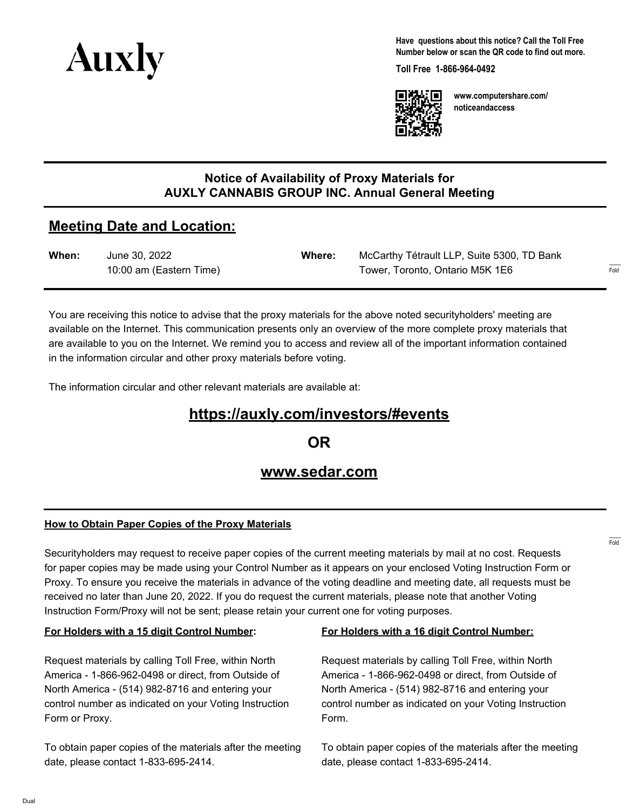

**Have questions about this notice? Call the Toll Free Number below or scan the QR code to find out more.**

**Toll Free 1-866-964-0492**



**www.computershare.com/ noticeandaccess**

### **Notice of Availability of Proxy Materials for AUXLY CANNABIS GROUP INC. Annual General Meeting**

## **Meeting Date and Location:**

| When: | June 30, 2022           | Where: | McCarthy Tétrault LLP, Suite 5300, TD Bank |
|-------|-------------------------|--------|--------------------------------------------|
|       | 10:00 am (Eastern Time) |        | Tower, Toronto, Ontario M5K 1E6            |

You are receiving this notice to advise that the proxy materials for the above noted securityholders' meeting are available on the Internet. This communication presents only an overview of the more complete proxy materials that are available to you on the Internet. We remind you to access and review all of the important information contained in the information circular and other proxy materials before voting.

The information circular and other relevant materials are available at:

# **https://auxly.com/investors/#events**

**OR**

## **www.sedar.com**

#### **How to Obtain Paper Copies of the Proxy Materials**

Securityholders may request to receive paper copies of the current meeting materials by mail at no cost. Requests for paper copies may be made using your Control Number as it appears on your enclosed Voting Instruction Form or Proxy. To ensure you receive the materials in advance of the voting deadline and meeting date, all requests must be received no later than June 20, 2022. If you do request the current materials, please note that another Voting Instruction Form/Proxy will not be sent; please retain your current one for voting purposes.

#### **For Holders with a 15 digit Control Number:**

Request materials by calling Toll Free, within North America - 1-866-962-0498 or direct, from Outside of North America - (514) 982-8716 and entering your control number as indicated on your Voting Instruction Form or Proxy.

To obtain paper copies of the materials after the meeting date, please contact 1-833-695-2414.

#### **For Holders with a 16 digit Control Number:**

Request materials by calling Toll Free, within North America - 1-866-962-0498 or direct, from Outside of North America - (514) 982-8716 and entering your control number as indicated on your Voting Instruction Form.

To obtain paper copies of the materials after the meeting date, please contact 1-833-695-2414.

------- Fold